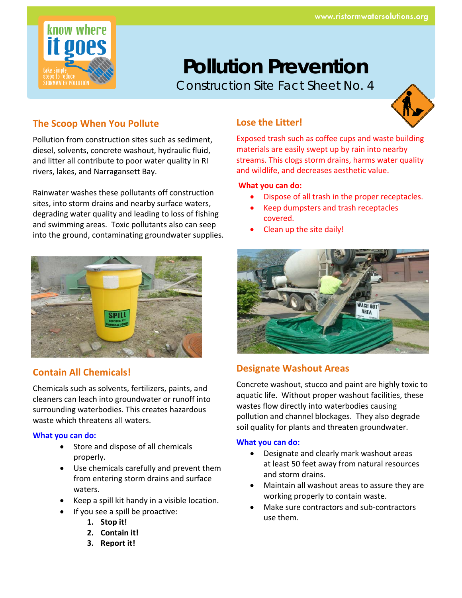

# **Pollution Prevention**

Construction Site Fact Sheet No. 4



## **The Scoop When You Pollute**

Pollution from construction sites such as sediment, diesel, solvents, concrete washout, hydraulic fluid, and litter all contribute to poor water quality in RI rivers, lakes, and Narragansett Bay.

Rainwater washes these pollutants off construction sites, into storm drains and nearby surface waters, degrading water quality and leading to loss of fishing and swimming areas. Toxic pollutants also can seep into the ground, contaminating groundwater supplies.



## **Contain All Chemicals!**

Chemicals such as solvents, fertilizers, paints, and cleaners can leach into groundwater or runoff into surrounding waterbodies. This creates hazardous waste which threatens all waters.

#### **What you can do:**

- Store and dispose of all chemicals properly.
- Use chemicals carefully and prevent them from entering storm drains and surface waters.
- Keep a spill kit handy in a visible location.
	- If you see a spill be proactive:
		- **1. Stop it!**
		- **2. Contain it!**
		- **3. Report it!**

## **Lose the Litter!**

Exposed trash such as coffee cups and waste building materials are easily swept up by rain into nearby streams. This clogs storm drains, harms water quality and wildlife, and decreases aesthetic value.

#### **What you can do:**

- Dispose of all trash in the proper receptacles.
- Keep dumpsters and trash receptacles covered.
- Clean up the site daily!



## **Designate Washout Areas**

Concrete washout, stucco and paint are highly toxic to aquatic life. Without proper washout facilities, these wastes flow directly into waterbodies causing pollution and channel blockages. They also degrade soil quality for plants and threaten groundwater.

#### **What you can do:**

- Designate and clearly mark washout areas at least 50 feet away from natural resources and storm drains.
- Maintain all washout areas to assure they are working properly to contain waste.
- Make sure contractors and sub‐contractors use them.